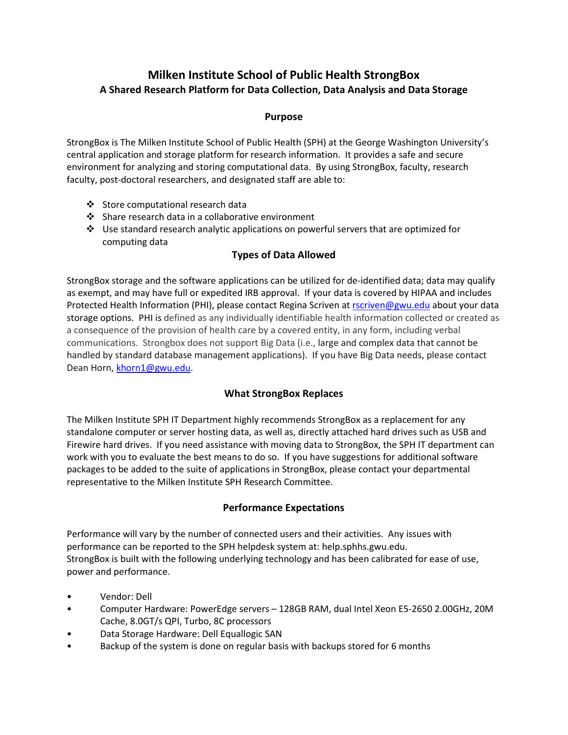# **Milken Institute School of Public Health StrongBox A Shared Research Platform for Data Collection, Data Analysis and Data Storage**

#### **Purpose**

StrongBox is The Milken Institute School of Public Health (SPH) at the George Washington University's central application and storage platform for research information. It provides a safe and secure environment for analyzing and storing computational data. By using StrongBox, faculty, research faculty, post-doctoral researchers, and designated staff are able to:

- Store computational research data
- ❖ Share research data in a collaborative environment
- $\div$  Use standard research analytic applications on powerful servers that are optimized for computing data

### **Types of Data Allowed**

StrongBox storage and the software applications can be utilized for de-identified data; data may qualify as exempt, and may have full or expedited IRB approval. If your data is covered by HIPAA and includes Protected Health Information (PHI), please contact Regina Scriven at [rscriven@gwu.edu](mailto:rscriven@gwu.edu) about your data storage options. PHI is defined as any individually identifiable health information collected or created as a consequence of the provision of health care by a covered entity, in any form, including verbal communications. Strongbox does not support Big Data (i.e., large and complex data that cannot be handled by standard database management applications). If you have Big Data needs, please contact Dean Horn, [khorn1@gwu.edu.](mailto:khorn1@gwu.edu)

#### **What StrongBox Replaces**

The Milken Institute SPH IT Department highly recommends StrongBox as a replacement for any standalone computer or server hosting data, as well as, directly attached hard drives such as USB and Firewire hard drives. If you need assistance with moving data to StrongBox, the SPH IT department can work with you to evaluate the best means to do so. If you have suggestions for additional software packages to be added to the suite of applications in StrongBox, please contact your departmental representative to the Milken Institute SPH Research Committee.

#### **Performance Expectations**

Performance will vary by the number of connected users and their activities. Any issues with performance can be reported to the SPH helpdesk system at: help.sphhs.gwu.edu. StrongBox is built with the following underlying technology and has been calibrated for ease of use, power and performance.

- Vendor: Dell
- Computer Hardware: PowerEdge servers 128GB RAM, dual Intel Xeon E5-2650 2.00GHz, 20M Cache, 8.0GT/s QPI, Turbo, 8C processors
- Data Storage Hardware: Dell Equallogic SAN
- Backup of the system is done on regular basis with backups stored for 6 months